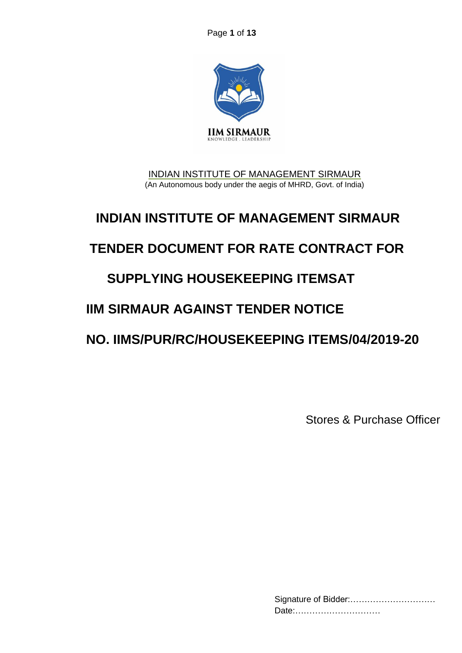Page **1** of **13**



INDIAN INSTITUTE OF MANAGEMENT SIRMAUR (An Autonomous body under the aegis of MHRD, Govt. of India)

# **INDIAN INSTITUTE OF MANAGEMENT SIRMAUR**

## **TENDER DOCUMENT FOR RATE CONTRACT FOR**

## **SUPPLYING HOUSEKEEPING ITEMSAT**

## **IIM SIRMAUR AGAINST TENDER NOTICE**

## **NO. IIMS/PUR/RC/HOUSEKEEPING ITEMS/04/2019-20**

Stores & Purchase Officer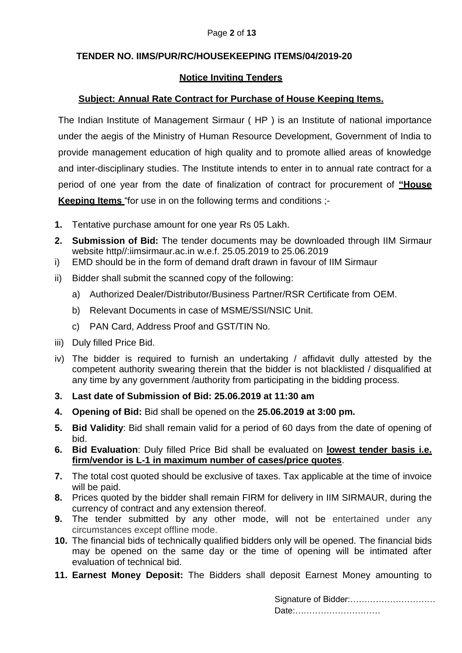#### **TENDER NO. IIMS/PUR/RC/HOUSEKEEPING ITEMS/04/2019-20**

#### **Notice Inviting Tenders**

#### **Subject: Annual Rate Contract for Purchase of House Keeping Items.**

The Indian Institute of Management Sirmaur ( HP ) is an Institute of national importance under the aegis of the Ministry of Human Resource Development, Government of India to provide management education of high quality and to promote allied areas of knowledge and inter-disciplinary studies. The Institute intends to enter in to annual rate contract for a period of one year from the date of finalization of contract for procurement of **"House Keeping Items** "for use in on the following terms and conditions ;-

- **1.** Tentative purchase amount for one year Rs 05 Lakh.
- **2. Submission of Bid:** The tender documents may be downloaded through IIM Sirmaur website http//:iimsirmaur.ac.in w.e.f. 25.05.2019 to 25.06.2019
- i) EMD should be in the form of demand draft drawn in favour of IIM Sirmaur
- ii) Bidder shall submit the scanned copy of the following:
	- a) Authorized Dealer/Distributor/Business Partner/RSR Certificate from OEM.
	- b) Relevant Documents in case of MSME/SSI/NSIC Unit.
	- c) PAN Card, Address Proof and GST/TIN No.
- iii) Duly filled Price Bid.
- iv) The bidder is required to furnish an undertaking / affidavit dully attested by the competent authority swearing therein that the bidder is not blacklisted / disqualified at any time by any government /authority from participating in the bidding process.
- **3. Last date of Submission of Bid: 25.06.2019 at 11:30 am**
- **4. Opening of Bid:** Bid shall be opened on the **25.06.2019 at 3:00 pm.**
- **5. Bid Validity**: Bid shall remain valid for a period of 60 days from the date of opening of bid.
- **6. Bid Evaluation**: Duly filled Price Bid shall be evaluated on **lowest tender basis i.e. firm/vendor is L-1 in maximum number of cases/price quotes**.
- **7.** The total cost quoted should be exclusive of taxes. Tax applicable at the time of invoice will be paid.
- **8.** Prices quoted by the bidder shall remain FIRM for delivery in IIM SIRMAUR, during the currency of contract and any extension thereof.
- **9.** The tender submitted by any other mode, will not be entertained under any circumstances except offline mode.
- **10.** The financial bids of technically qualified bidders only will be opened. The financial bids may be opened on the same day or the time of opening will be intimated after evaluation of technical bid.
- **11. Earnest Money Deposit:** The Bidders shall deposit Earnest Money amounting to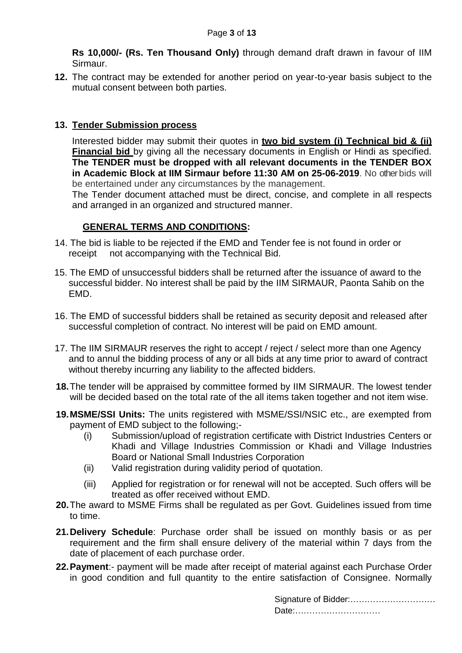**Rs 10,000/- (Rs. Ten Thousand Only)** through demand draft drawn in favour of IIM Sirmaur.

**12.** The contract may be extended for another period on year-to-year basis subject to the mutual consent between both parties.

#### **13. Tender Submission process**

Interested bidder may submit their quotes in **two bid system (i) Technical bid & (ii) Financial bid** by giving all the necessary documents in English or Hindi as specified. **The TENDER must be dropped with all relevant documents in the TENDER BOX in Academic Block at IIM Sirmaur before 11:30 AM on 25-06-2019**. No other bids will be entertained under any circumstances by the management.

The Tender document attached must be direct, concise, and complete in all respects and arranged in an organized and structured manner.

#### **GENERAL TERMS AND CONDITIONS:**

- 14. The bid is liable to be rejected if the EMD and Tender fee is not found in order or receipt not accompanying with the Technical Bid.
- 15. The EMD of unsuccessful bidders shall be returned after the issuance of award to the successful bidder. No interest shall be paid by the IIM SIRMAUR, Paonta Sahib on the EMD.
- 16. The EMD of successful bidders shall be retained as security deposit and released after successful completion of contract. No interest will be paid on EMD amount.
- 17. The IIM SIRMAUR reserves the right to accept / reject / select more than one Agency and to annul the bidding process of any or all bids at any time prior to award of contract without thereby incurring any liability to the affected bidders.
- **18.**The tender will be appraised by committee formed by IIM SIRMAUR. The lowest tender will be decided based on the total rate of the all items taken together and not item wise.
- **19.MSME/SSI Units:** The units registered with MSME/SSI/NSIC etc., are exempted from payment of EMD subject to the following;-
	- (i) Submission/upload of registration certificate with District Industries Centers or Khadi and Village Industries Commission or Khadi and Village Industries Board or National Small Industries Corporation
	- (ii) Valid registration during validity period of quotation.
	- (iii) Applied for registration or for renewal will not be accepted. Such offers will be treated as offer received without EMD.
- **20.**The award to MSME Firms shall be regulated as per Govt. Guidelines issued from time to time.
- **21.Delivery Schedule**: Purchase order shall be issued on monthly basis or as per requirement and the firm shall ensure delivery of the material within 7 days from the date of placement of each purchase order.
- **22.Payment**:- payment will be made after receipt of material against each Purchase Order in good condition and full quantity to the entire satisfaction of Consignee. Normally

| Signature of Bidder: |  |
|----------------------|--|
| Date:                |  |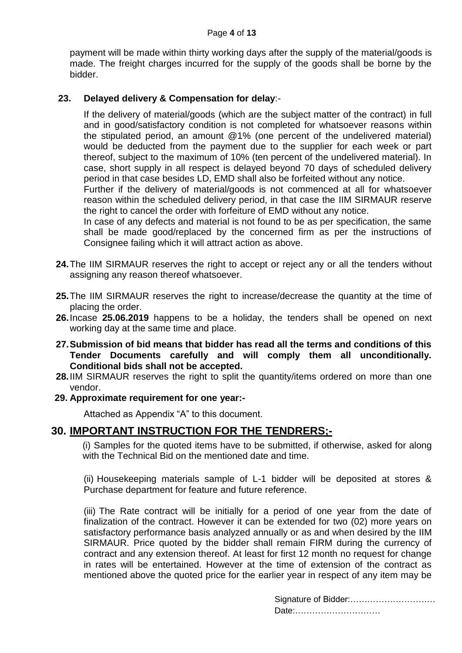#### Page **4** of **13**

payment will be made within thirty working days after the supply of the material/goods is made. The freight charges incurred for the supply of the goods shall be borne by the bidder.

#### **23. Delayed delivery & Compensation for delay**:-

If the delivery of material/goods (which are the subject matter of the contract) in full and in good/satisfactory condition is not completed for whatsoever reasons within the stipulated period, an amount @1% (one percent of the undelivered material) would be deducted from the payment due to the supplier for each week or part thereof, subject to the maximum of 10% (ten percent of the undelivered material). In case, short supply in all respect is delayed beyond 70 days of scheduled delivery period in that case besides LD, EMD shall also be forfeited without any notice.

Further if the delivery of material/goods is not commenced at all for whatsoever reason within the scheduled delivery period, in that case the IIM SIRMAUR reserve the right to cancel the order with forfeiture of EMD without any notice.

In case of any defects and material is not found to be as per specification, the same shall be made good/replaced by the concerned firm as per the instructions of Consignee failing which it will attract action as above.

- **24.**The IIM SIRMAUR reserves the right to accept or reject any or all the tenders without assigning any reason thereof whatsoever.
- **25.**The IIM SIRMAUR reserves the right to increase/decrease the quantity at the time of placing the order.
- **26.**Incase **25.06.2019** happens to be a holiday, the tenders shall be opened on next working day at the same time and place.
- **27.Submission of bid means that bidder has read all the terms and conditions of this Tender Documents carefully and will comply them all unconditionally. Conditional bids shall not be accepted.**
- **28.**IIM SIRMAUR reserves the right to split the quantity/items ordered on more than one vendor.
- **29. Approximate requirement for one year:-**

Attached as Appendix "A" to this document.

### **30. IMPORTANT INSTRUCTION FOR THE TENDRERS;-**

(i) Samples for the quoted items have to be submitted, if otherwise, asked for along with the Technical Bid on the mentioned date and time.

(ii) Housekeeping materials sample of L-1 bidder will be deposited at stores & Purchase department for feature and future reference.

(iii) The Rate contract will be initially for a period of one year from the date of finalization of the contract. However it can be extended for two (02) more years on satisfactory performance basis analyzed annually or as and when desired by the IIM SIRMAUR. Price quoted by the bidder shall remain FIRM during the currency of contract and any extension thereof. At least for first 12 month no request for change in rates will be entertained. However at the time of extension of the contract as mentioned above the quoted price for the earlier year in respect of any item may be

| Date: |  |
|-------|--|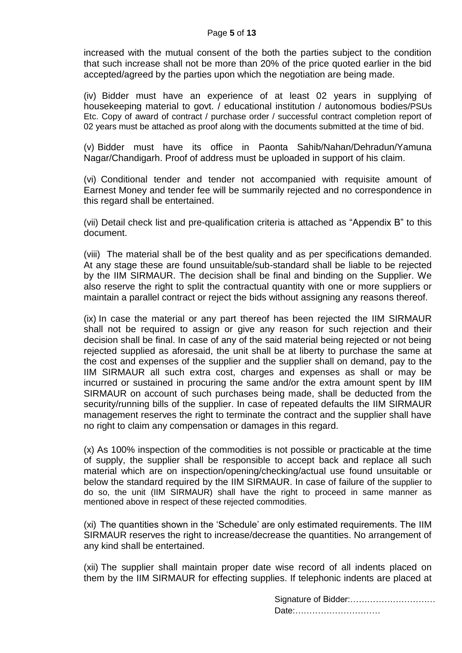increased with the mutual consent of the both the parties subject to the condition that such increase shall not be more than 20% of the price quoted earlier in the bid accepted/agreed by the parties upon which the negotiation are being made.

(iv) Bidder must have an experience of at least 02 years in supplying of housekeeping material to govt. / educational institution / autonomous bodies/PSUs Etc. Copy of award of contract / purchase order / successful contract completion report of 02 years must be attached as proof along with the documents submitted at the time of bid.

(v) Bidder must have its office in Paonta Sahib/Nahan/Dehradun/Yamuna Nagar/Chandigarh. Proof of address must be uploaded in support of his claim.

(vi) Conditional tender and tender not accompanied with requisite amount of Earnest Money and tender fee will be summarily rejected and no correspondence in this regard shall be entertained.

(vii) Detail check list and pre-qualification criteria is attached as "Appendix B" to this document.

(viii) The material shall be of the best quality and as per specifications demanded. At any stage these are found unsuitable/sub-standard shall be liable to be rejected by the IIM SIRMAUR. The decision shall be final and binding on the Supplier. We also reserve the right to split the contractual quantity with one or more suppliers or maintain a parallel contract or reject the bids without assigning any reasons thereof.

(ix) In case the material or any part thereof has been rejected the IIM SIRMAUR shall not be required to assign or give any reason for such rejection and their decision shall be final. In case of any of the said material being rejected or not being rejected supplied as aforesaid, the unit shall be at liberty to purchase the same at the cost and expenses of the supplier and the supplier shall on demand, pay to the IIM SIRMAUR all such extra cost, charges and expenses as shall or may be incurred or sustained in procuring the same and/or the extra amount spent by IIM SIRMAUR on account of such purchases being made, shall be deducted from the security/running bills of the supplier. In case of repeated defaults the IIM SIRMAUR management reserves the right to terminate the contract and the supplier shall have no right to claim any compensation or damages in this regard.

(x) As 100% inspection of the commodities is not possible or practicable at the time of supply, the supplier shall be responsible to accept back and replace all such material which are on inspection/opening/checking/actual use found unsuitable or below the standard required by the IIM SIRMAUR. In case of failure of the supplier to do so, the unit (IIM SIRMAUR) shall have the right to proceed in same manner as mentioned above in respect of these rejected commodities.

(xi) The quantities shown in the 'Schedule' are only estimated requirements. The IIM SIRMAUR reserves the right to increase/decrease the quantities. No arrangement of any kind shall be entertained.

(xii) The supplier shall maintain proper date wise record of all indents placed on them by the IIM SIRMAUR for effecting supplies. If telephonic indents are placed at

| Signature of Bidder: |  |
|----------------------|--|
| Date:                |  |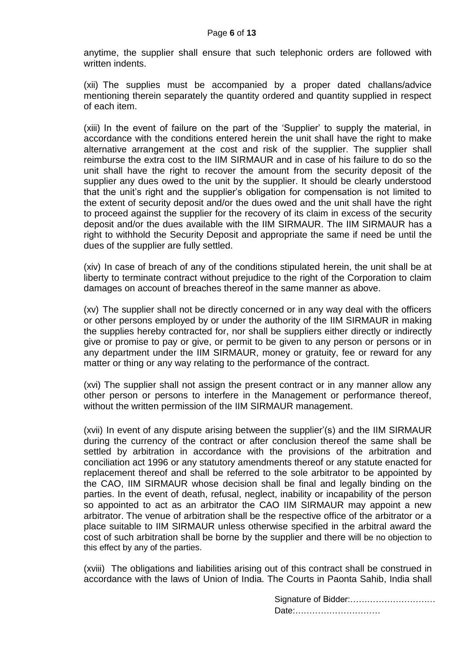anytime, the supplier shall ensure that such telephonic orders are followed with written indents.

(xii) The supplies must be accompanied by a proper dated challans/advice mentioning therein separately the quantity ordered and quantity supplied in respect of each item.

(xiii) In the event of failure on the part of the 'Supplier' to supply the material, in accordance with the conditions entered herein the unit shall have the right to make alternative arrangement at the cost and risk of the supplier. The supplier shall reimburse the extra cost to the IIM SIRMAUR and in case of his failure to do so the unit shall have the right to recover the amount from the security deposit of the supplier any dues owed to the unit by the supplier. It should be clearly understood that the unit's right and the supplier's obligation for compensation is not limited to the extent of security deposit and/or the dues owed and the unit shall have the right to proceed against the supplier for the recovery of its claim in excess of the security deposit and/or the dues available with the IIM SIRMAUR. The IIM SIRMAUR has a right to withhold the Security Deposit and appropriate the same if need be until the dues of the supplier are fully settled.

(xiv) In case of breach of any of the conditions stipulated herein, the unit shall be at liberty to terminate contract without prejudice to the right of the Corporation to claim damages on account of breaches thereof in the same manner as above.

(xv) The supplier shall not be directly concerned or in any way deal with the officers or other persons employed by or under the authority of the IIM SIRMAUR in making the supplies hereby contracted for, nor shall be suppliers either directly or indirectly give or promise to pay or give, or permit to be given to any person or persons or in any department under the IIM SIRMAUR, money or gratuity, fee or reward for any matter or thing or any way relating to the performance of the contract.

(xvi) The supplier shall not assign the present contract or in any manner allow any other person or persons to interfere in the Management or performance thereof, without the written permission of the IIM SIRMAUR management.

(xvii) In event of any dispute arising between the supplier'(s) and the IIM SIRMAUR during the currency of the contract or after conclusion thereof the same shall be settled by arbitration in accordance with the provisions of the arbitration and conciliation act 1996 or any statutory amendments thereof or any statute enacted for replacement thereof and shall be referred to the sole arbitrator to be appointed by the CAO, IIM SIRMAUR whose decision shall be final and legally binding on the parties. In the event of death, refusal, neglect, inability or incapability of the person so appointed to act as an arbitrator the CAO IIM SIRMAUR may appoint a new arbitrator. The venue of arbitration shall be the respective office of the arbitrator or a place suitable to IIM SIRMAUR unless otherwise specified in the arbitral award the cost of such arbitration shall be borne by the supplier and there will be no objection to this effect by any of the parties.

(xviii) The obligations and liabilities arising out of this contract shall be construed in accordance with the laws of Union of India. The Courts in Paonta Sahib, India shall

| Signature of Bidder: |  |
|----------------------|--|
| Date:                |  |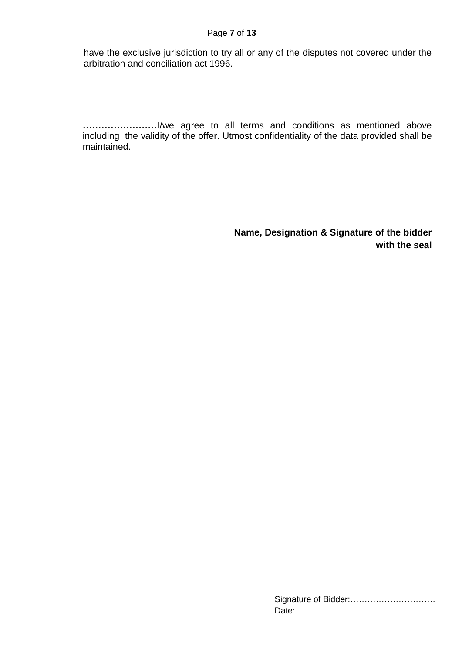have the exclusive jurisdiction to try all or any of the disputes not covered under the arbitration and conciliation act 1996.

**……………………**I/we agree to all terms and conditions as mentioned above including the validity of the offer. Utmost confidentiality of the data provided shall be maintained.

> **Name, Designation & Signature of the bidder with the seal**

| Date: |
|-------|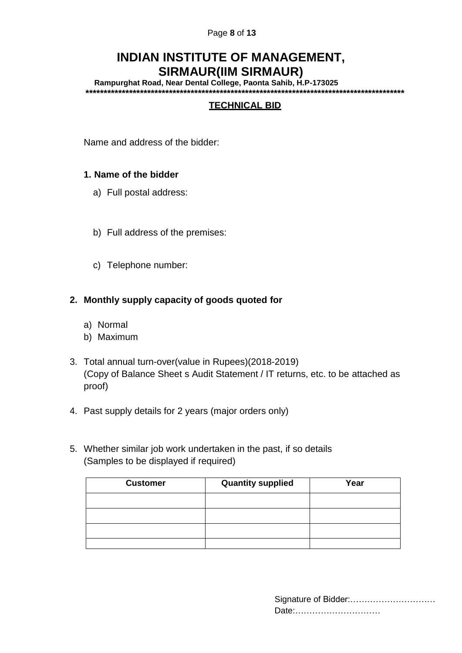#### Page **8** of **13**

### **INDIAN INSTITUTE OF MANAGEMENT, SIRMAUR(IIM SIRMAUR)**

**Rampurghat Road, Near Dental College, Paonta Sahib, H.P-173025 \*\*\*\*\*\*\*\*\*\*\*\*\*\*\*\*\*\*\*\*\*\*\*\*\*\*\*\*\*\*\*\*\*\*\*\*\*\*\*\*\*\*\*\*\*\*\*\*\*\*\*\*\*\*\*\*\*\*\*\*\*\*\*\*\*\*\*\*\*\*\*\*\*\*\*\*\*\*\*\*\*\*\*\*\*\*\*\*** 

### **TECHNICAL BID**

Name and address of the bidder:

#### **1. Name of the bidder**

- a) Full postal address:
- b) Full address of the premises:
- c) Telephone number:

#### **2. Monthly supply capacity of goods quoted for**

- a) Normal
- b) Maximum
- 3. Total annual turn-over(value in Rupees)(2018-2019) (Copy of Balance Sheet s Audit Statement / IT returns, etc. to be attached as proof)
- 4. Past supply details for 2 years (major orders only)
- 5. Whether similar job work undertaken in the past, if so details (Samples to be displayed if required)

| <b>Customer</b> | <b>Quantity supplied</b> | Year |
|-----------------|--------------------------|------|
|                 |                          |      |
|                 |                          |      |
|                 |                          |      |
|                 |                          |      |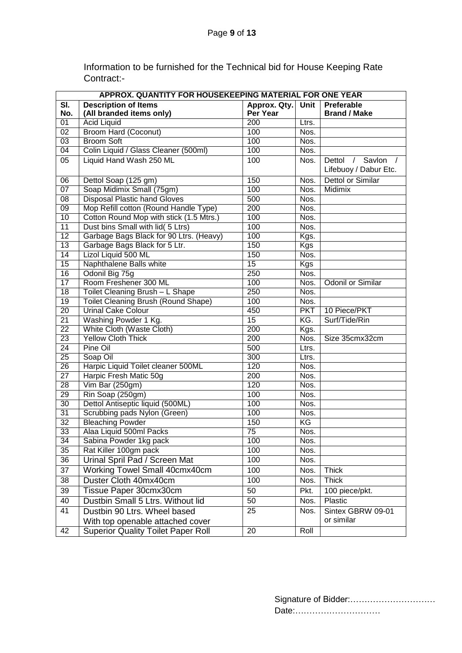Information to be furnished for the Technical bid for House Keeping Rate Contract:-

|                           | APPROX. QUANTITY FOR HOUSEKEEPING MATERIAL FOR ONE YEAR |                                 |            |                                                        |  |
|---------------------------|---------------------------------------------------------|---------------------------------|------------|--------------------------------------------------------|--|
| $\overline{\mathsf{SI}.}$ | <b>Description of Items</b>                             | Approx. Qty. Unit<br>Preferable |            |                                                        |  |
| No.                       | (All branded items only)                                | Per Year                        |            | <b>Brand / Make</b>                                    |  |
| $\overline{01}$           | <b>Acid Liquid</b>                                      | 200                             | Ltrs.      |                                                        |  |
| 02                        | <b>Broom Hard (Coconut)</b>                             | 100                             | Nos.       |                                                        |  |
| 03                        | <b>Broom Soft</b>                                       | 100                             | Nos.       |                                                        |  |
| 04                        | Colin Liquid / Glass Cleaner (500ml)                    | 100                             | Nos.       |                                                        |  |
| $\overline{05}$           | Liquid Hand Wash 250 ML                                 | 100                             | Nos.       | Dettol / Savlon<br>$\sqrt{ }$<br>Lifebuoy / Dabur Etc. |  |
| $\overline{06}$           | Dettol Soap (125 gm)                                    | 150                             | Nos.       | <b>Dettol or Similar</b>                               |  |
| 07                        | Soap Midimix Small (75gm)                               | 100                             | Nos.       | Midimix                                                |  |
| $\overline{08}$           | <b>Disposal Plastic hand Gloves</b>                     | 500                             | Nos.       |                                                        |  |
| 09                        | Mop Refill cotton (Round Handle Type)                   | 200                             | Nos.       |                                                        |  |
| 10                        | Cotton Round Mop with stick (1.5 Mtrs.)                 | 100                             | Nos.       |                                                        |  |
| 11                        | Dust bins Small with lid( 5 Ltrs)                       | 100                             | Nos.       |                                                        |  |
| $\overline{12}$           | Garbage Bags Black for 90 Ltrs. (Heavy)                 | 100                             | Kgs.       |                                                        |  |
| 13                        | Garbage Bags Black for 5 Ltr.                           | 150                             | <b>Kgs</b> |                                                        |  |
| 14                        | Lizol Liquid 500 ML                                     | 150                             | Nos.       |                                                        |  |
| 15                        | Naphthalene Balls white                                 | 15                              | <b>Kgs</b> |                                                        |  |
| 16                        | Odonil Big 75g                                          | 250                             | Nos.       |                                                        |  |
| 17                        | Room Freshener 300 ML                                   | 100                             | Nos.       | <b>Odonil or Similar</b>                               |  |
| $\overline{18}$           | Toilet Cleaning Brush - L Shape                         | $\overline{250}$                | Nos.       |                                                        |  |
| 19                        | Toilet Cleaning Brush (Round Shape)                     | 100                             | Nos.       |                                                        |  |
| $\overline{20}$           | <b>Urinal Cake Colour</b>                               | 450                             | <b>PKT</b> | 10 Piece/PKT                                           |  |
| $\overline{21}$           | Washing Powder 1 Kg.                                    | 15                              | KG.        | Surf/Tide/Rin                                          |  |
| $\overline{22}$           | White Cloth (Waste Cloth)                               | $\overline{200}$                | Kgs.       |                                                        |  |
| $\overline{23}$           | <b>Yellow Cloth Thick</b>                               | 200                             | Nos.       | Size 35cmx32cm                                         |  |
| 24                        | Pine Oil                                                | 500                             | Ltrs.      |                                                        |  |
| $\overline{25}$           | Soap Oil                                                | 300                             | Ltrs.      |                                                        |  |
| $\overline{26}$           | Harpic Liquid Toilet cleaner 500ML                      | 120                             | Nos.       |                                                        |  |
| $\overline{27}$           | Harpic Fresh Matic 50g                                  | 200                             | Nos.       |                                                        |  |
| 28                        | Vim Bar (250gm)                                         | 120                             | Nos.       |                                                        |  |
| 29                        | Rin Soap (250gm)                                        | 100                             | Nos.       |                                                        |  |
| 30                        | Dettol Antiseptic liquid (500ML)                        | 100                             | Nos.       |                                                        |  |
| 31                        | Scrubbing pads Nylon (Green)                            | 100                             | Nos.       |                                                        |  |
| $\overline{32}$           | <b>Bleaching Powder</b>                                 | 150                             | KG         |                                                        |  |
| $\overline{33}$           | Alaa Liquid 500ml Packs                                 | 75                              | Nos.       |                                                        |  |
| 34                        | Sabina Powder 1kg pack                                  | 100                             | Nos.       |                                                        |  |
| 35                        | Rat Killer 100gm pack                                   | 100                             | Nos.       |                                                        |  |
| $\overline{36}$           | Urinal Spril Pad / Screen Mat                           | 100                             | Nos.       |                                                        |  |
| $\overline{37}$           | Working Towel Small 40cmx40cm                           | 100                             | Nos.       | <b>Thick</b>                                           |  |
| 38                        | Duster Cloth 40mx40cm                                   | 100                             | Nos.       | <b>Thick</b>                                           |  |
| 39                        | Tissue Paper 30cmx30cm                                  | 50                              | Pkt.       | 100 piece/pkt.                                         |  |
| 40                        | Dustbin Small 5 Ltrs. Without lid                       | 50                              | Nos.       | Plastic                                                |  |
| $\overline{41}$           | Dustbin 90 Ltrs. Wheel based                            | $\overline{25}$                 | Nos.       | Sintex GBRW 09-01                                      |  |
|                           | With top openable attached cover                        |                                 |            | or similar                                             |  |
| 42                        | <b>Superior Quality Toilet Paper Roll</b>               | $\overline{20}$                 | Roll       |                                                        |  |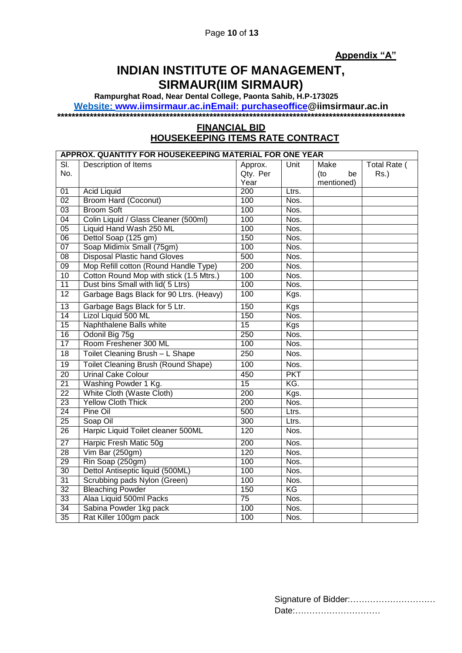**Appendix "A"**

## **INDIAN INSTITUTE OF MANAGEMENT, SIRMAUR(IIM SIRMAUR)**

**Rampurghat Road, Near Dental College, Paonta Sahib, H.P-173025**

**Website: www.iimsirmaur.ac.i[nEmail: purchaseoffice@](mailto:Email:%20purchaseoffice)iimsirmaur.ac.in**

**\*\*\*\*\*\*\*\*\*\*\*\*\*\*\*\*\*\*\*\*\*\*\*\*\*\*\*\*\*\*\*\*\*\*\*\*\*\*\*\*\*\*\*\*\*\*\*\*\*\*\*\*\*\*\*\*\*\*\*\*\*\*\*\*\*\*\*\*\*\*\*\*\*\*\*\*\*\*\*\*\*\*\*\*\*\*\*\*\*\*\*\*\*\*\*\*** 

#### **FINANCIAL BID HOUSEKEEPING ITEMS RATE CONTRACT**

|                 | APPROX. QUANTITY FOR HOUSEKEEPING MATERIAL FOR ONE YEAR |                  |            |            |              |
|-----------------|---------------------------------------------------------|------------------|------------|------------|--------------|
| SI.             | Description of Items                                    | Approx.          | Unit       | Make       | Total Rate ( |
| No.             |                                                         | Qty. Per         |            | (to<br>be  | Rs.)         |
|                 |                                                         | Year             |            | mentioned) |              |
| 01              | <b>Acid Liquid</b>                                      | 200              | Ltrs.      |            |              |
| 02              | <b>Broom Hard (Coconut)</b>                             | 100              | Nos.       |            |              |
| 03              | <b>Broom Soft</b>                                       | 100              | Nos.       |            |              |
| 04              | Colin Liquid / Glass Cleaner (500ml)                    | 100              | Nos.       |            |              |
| 05              | Liquid Hand Wash 250 ML                                 | 100              | Nos.       |            |              |
| 06              | Dettol Soap (125 gm)                                    | 150              | Nos.       |            |              |
| 07              | Soap Midimix Small (75gm)                               | 100              | Nos.       |            |              |
| $\overline{08}$ | <b>Disposal Plastic hand Gloves</b>                     | 500              | Nos.       |            |              |
| 09              | Mop Refill cotton (Round Handle Type)                   | $\overline{200}$ | Nos.       |            |              |
| 10              | Cotton Round Mop with stick (1.5 Mtrs.)                 | 100              | Nos.       |            |              |
| 11              | Dust bins Small with lid( 5 Ltrs)                       | 100              | Nos.       |            |              |
| $\overline{12}$ | Garbage Bags Black for 90 Ltrs. (Heavy)                 | 100              | Kgs.       |            |              |
| 13              | Garbage Bags Black for 5 Ltr.                           | 150              | Kgs        |            |              |
| 14              | Lizol Liquid 500 ML                                     | 150              | Nos.       |            |              |
| 15              | Naphthalene Balls white                                 | $\overline{15}$  | <b>Kgs</b> |            |              |
| 16              | Odonil Big 75g                                          | 250              | Nos.       |            |              |
| $\overline{17}$ | Room Freshener 300 ML                                   | 100              | Nos.       |            |              |
| 18              | Toilet Cleaning Brush - L Shape                         | 250              | Nos.       |            |              |
| $\overline{19}$ | Toilet Cleaning Brush (Round Shape)                     | 100              | Nos.       |            |              |
| 20              | <b>Urinal Cake Colour</b>                               | 450              | <b>PKT</b> |            |              |
| $\overline{21}$ | Washing Powder 1 Kg.                                    | 15               | KG.        |            |              |
| 22              | White Cloth (Waste Cloth)                               | 200              | Kgs.       |            |              |
| 23              | <b>Yellow Cloth Thick</b>                               | 200              | Nos.       |            |              |
| 24              | Pine Oil                                                | 500              | Ltrs.      |            |              |
| 25              | Soap Oil                                                | 300              | Ltrs.      |            |              |
| $\overline{26}$ | Harpic Liquid Toilet cleaner 500ML                      | 120              | Nos.       |            |              |
| 27              | Harpic Fresh Matic 50g                                  | 200              | Nos.       |            |              |
| 28              | Vim Bar $(250gm)$                                       | 120              | Nos.       |            |              |
| 29              | Rin Soap (250gm)                                        | 100              | Nos.       |            |              |
| 30              | Dettol Antiseptic liquid (500ML)                        | 100              | Nos.       |            |              |
| 31              | Scrubbing pads Nylon (Green)                            | 100              | Nos.       |            |              |
| $\overline{32}$ | <b>Bleaching Powder</b>                                 | 150              | KG         |            |              |
| 33              | Alaa Liquid 500ml Packs                                 | 75               | Nos.       |            |              |
| 34              | Sabina Powder 1kg pack                                  | 100              | Nos.       |            |              |
| 35              | Rat Killer 100gm pack                                   | 100              | Nos.       |            |              |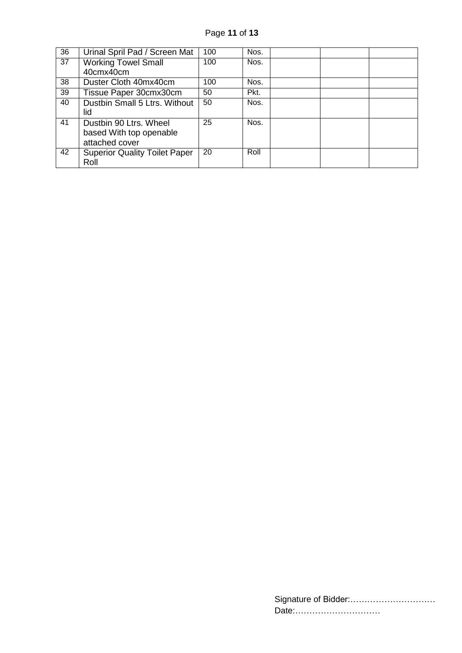Page **11** of **13**

| 36 | Urinal Spril Pad / Screen Mat        | 100 | Nos. |  |  |
|----|--------------------------------------|-----|------|--|--|
| 37 | <b>Working Towel Small</b>           | 100 | Nos. |  |  |
|    | 40cmx40cm                            |     |      |  |  |
| 38 | Duster Cloth 40mx40cm                | 100 | Nos. |  |  |
| 39 | Tissue Paper 30cmx30cm               | 50  | Pkt. |  |  |
| 40 | Dustbin Small 5 Ltrs. Without        | 50  | Nos. |  |  |
|    | lid                                  |     |      |  |  |
| 41 | Dustbin 90 Ltrs. Wheel               | 25  | Nos. |  |  |
|    | based With top openable              |     |      |  |  |
|    | attached cover                       |     |      |  |  |
| 42 | <b>Superior Quality Toilet Paper</b> | 20  | Roll |  |  |
|    | Roll                                 |     |      |  |  |

| Date: |
|-------|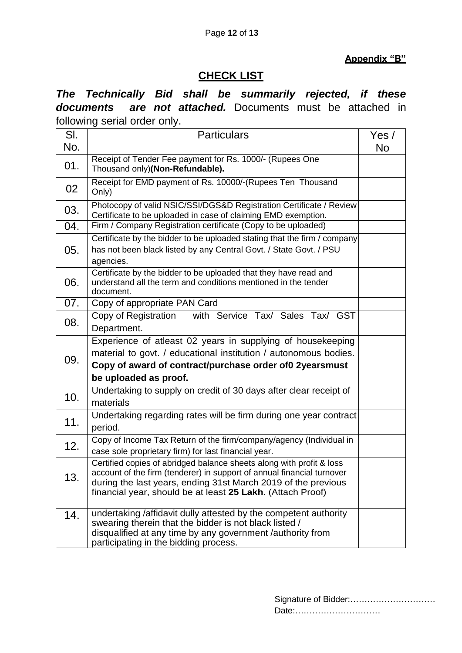#### **Appendix "B"**

### **CHECK LIST**

*The Technically Bid shall be summarily rejected, if these documents are not attached.* Documents must be attached in following serial order only.

| SI. | <b>Particulars</b>                                                                                                                                                                                                                                                            | Yes / |
|-----|-------------------------------------------------------------------------------------------------------------------------------------------------------------------------------------------------------------------------------------------------------------------------------|-------|
| No. |                                                                                                                                                                                                                                                                               | No    |
| 01. | Receipt of Tender Fee payment for Rs. 1000/- (Rupees One<br>Thousand only)(Non-Refundable).                                                                                                                                                                                   |       |
| 02  | Receipt for EMD payment of Rs. 10000/-(Rupees Ten Thousand<br>Only)                                                                                                                                                                                                           |       |
| 03. | Photocopy of valid NSIC/SSI/DGS&D Registration Certificate / Review<br>Certificate to be uploaded in case of claiming EMD exemption.                                                                                                                                          |       |
| 04. | Firm / Company Registration certificate (Copy to be uploaded)                                                                                                                                                                                                                 |       |
| 05. | Certificate by the bidder to be uploaded stating that the firm / company<br>has not been black listed by any Central Govt. / State Govt. / PSU<br>agencies.                                                                                                                   |       |
| 06. | Certificate by the bidder to be uploaded that they have read and<br>understand all the term and conditions mentioned in the tender<br>document.                                                                                                                               |       |
| 07. | Copy of appropriate PAN Card                                                                                                                                                                                                                                                  |       |
| 08. | Copy of Registration<br>with Service Tax/ Sales Tax/ GST<br>Department.                                                                                                                                                                                                       |       |
| 09. | Experience of atleast 02 years in supplying of housekeeping<br>material to govt. / educational institution / autonomous bodies.<br>Copy of award of contract/purchase order of 02yearsmust<br>be uploaded as proof.                                                           |       |
| 10. | Undertaking to supply on credit of 30 days after clear receipt of<br>materials                                                                                                                                                                                                |       |
| 11. | Undertaking regarding rates will be firm during one year contract<br>period.                                                                                                                                                                                                  |       |
| 12. | Copy of Income Tax Return of the firm/company/agency (Individual in<br>case sole proprietary firm) for last financial year.                                                                                                                                                   |       |
| 13. | Certified copies of abridged balance sheets along with profit & loss<br>account of the firm (tenderer) in support of annual financial turnover<br>during the last years, ending 31st March 2019 of the previous<br>financial year, should be at least 25 Lakh. (Attach Proof) |       |
| 14. | undertaking /affidavit dully attested by the competent authority<br>swearing therein that the bidder is not black listed /<br>disqualified at any time by any government /authority from<br>participating in the bidding process.                                             |       |

| Date: |
|-------|